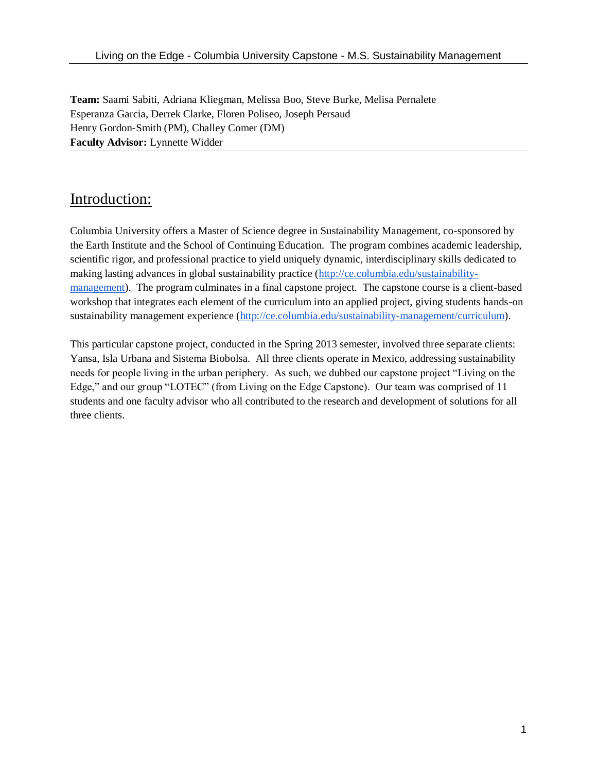**Team:** Saami Sabiti, Adriana Kliegman, Melissa Boo, Steve Burke, Melisa Pernalete Esperanza Garcia, Derrek Clarke, Floren Poliseo, Joseph Persaud Henry Gordon-Smith (PM), Challey Comer (DM) **Faculty Advisor:** Lynnette Widder

# Introduction:

Columbia University offers a Master of Science degree in Sustainability Management, co-sponsored by the Earth Institute and the School of Continuing Education. The program combines academic leadership, scientific rigor, and professional practice to yield uniquely dynamic, interdisciplinary skills dedicated to making lasting advances in global sustainability practice [\(http://ce.columbia.edu/sustainability](http://ce.columbia.edu/sustainability-management)[management\)](http://ce.columbia.edu/sustainability-management). The program culminates in a final capstone project. The capstone course is a client-based workshop that integrates each element of the curriculum into an applied project, giving students hands-on sustainability management experience [\(http://ce.columbia.edu/sustainability-management/curriculum\)](http://ce.columbia.edu/sustainability-management/curriculum).

This particular capstone project, conducted in the Spring 2013 semester, involved three separate clients: Yansa, Isla Urbana and Sistema Biobolsa. All three clients operate in Mexico, addressing sustainability needs for people living in the urban periphery. As such, we dubbed our capstone project "Living on the Edge," and our group "LOTEC" (from Living on the Edge Capstone). Our team was comprised of 11 students and one faculty advisor who all contributed to the research and development of solutions for all three clients.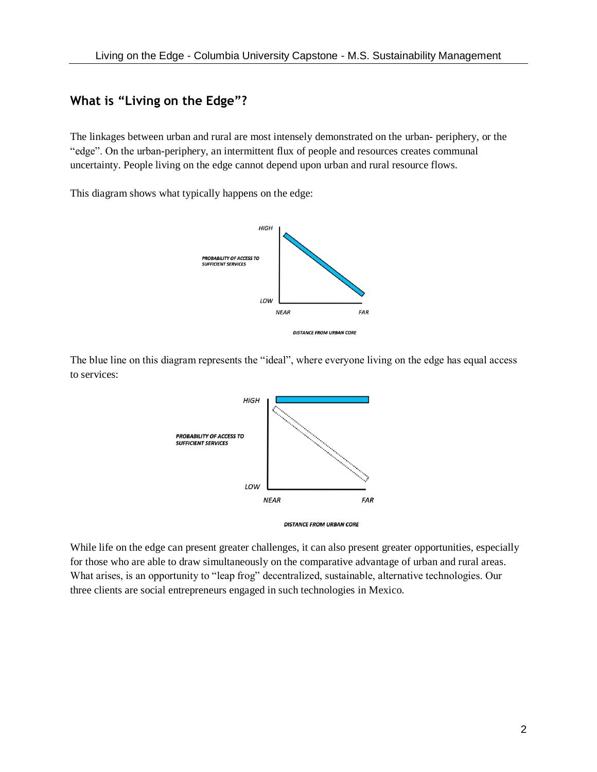## **What is "Living on the Edge"?**

The linkages between urban and rural are most intensely demonstrated on the urban- periphery, or the "edge". On the urban-periphery, an intermittent flux of people and resources creates communal uncertainty. People living on the edge cannot depend upon urban and rural resource flows.

This diagram shows what typically happens on the edge:



The blue line on this diagram represents the "ideal", where everyone living on the edge has equal access to services:



While life on the edge can present greater challenges, it can also present greater opportunities, especially for those who are able to draw simultaneously on the comparative advantage of urban and rural areas. What arises, is an opportunity to "leap frog" decentralized, sustainable, alternative technologies. Our three clients are social entrepreneurs engaged in such technologies in Mexico.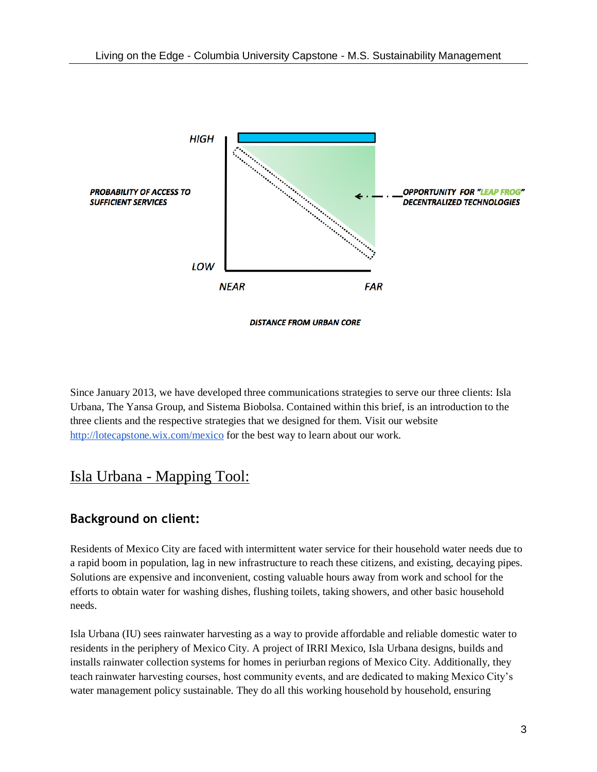

Since January 2013, we have developed three communications strategies to serve our three clients: Isla Urbana, The Yansa Group, and Sistema Biobolsa. Contained within this brief, is an introduction to the three clients and the respective strategies that we designed for them. Visit our website <http://lotecapstone.wix.com/mexico> for the best way to learn about our work.

# Isla Urbana - Mapping Tool:

## **Background on client:**

Residents of Mexico City are faced with intermittent water service for their household water needs due to a rapid boom in population, lag in new infrastructure to reach these citizens, and existing, decaying pipes. Solutions are expensive and inconvenient, costing valuable hours away from work and school for the efforts to obtain water for washing dishes, flushing toilets, taking showers, and other basic household needs.

Isla Urbana (IU) sees rainwater harvesting as a way to provide affordable and reliable domestic water to residents in the periphery of Mexico City. A project of IRRI Mexico, Isla Urbana designs, builds and installs rainwater collection systems for homes in periurban regions of Mexico City. Additionally, they teach rainwater harvesting courses, host community events, and are dedicated to making Mexico City's water management policy sustainable. They do all this working household by household, ensuring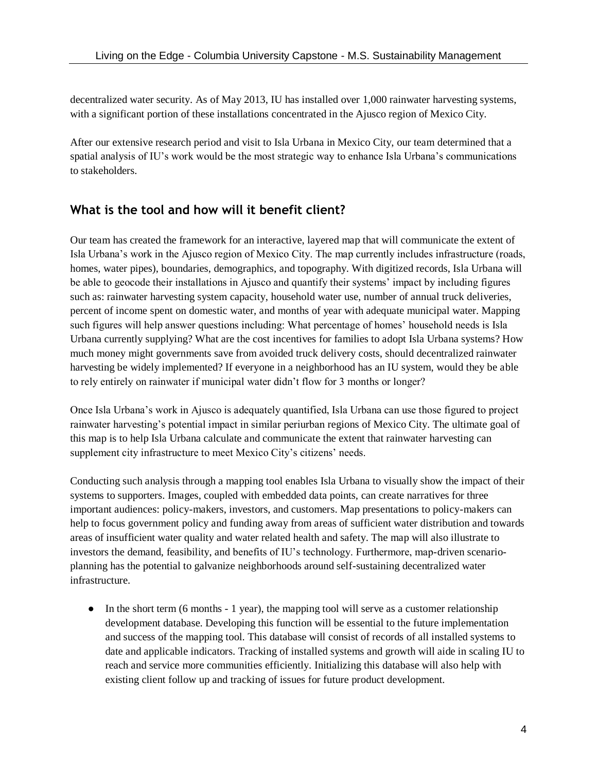decentralized water security. As of May 2013, IU has installed over 1,000 rainwater harvesting systems, with a significant portion of these installations concentrated in the Ajusco region of Mexico City.

After our extensive research period and visit to Isla Urbana in Mexico City, our team determined that a spatial analysis of IU's work would be the most strategic way to enhance Isla Urbana's communications to stakeholders.

## **What is the tool and how will it benefit client?**

Our team has created the framework for an interactive, layered map that will communicate the extent of Isla Urbana's work in the Ajusco region of Mexico City. The map currently includes infrastructure (roads, homes, water pipes), boundaries, demographics, and topography. With digitized records, Isla Urbana will be able to geocode their installations in Ajusco and quantify their systems' impact by including figures such as: rainwater harvesting system capacity, household water use, number of annual truck deliveries, percent of income spent on domestic water, and months of year with adequate municipal water. Mapping such figures will help answer questions including: What percentage of homes' household needs is Isla Urbana currently supplying? What are the cost incentives for families to adopt Isla Urbana systems? How much money might governments save from avoided truck delivery costs, should decentralized rainwater harvesting be widely implemented? If everyone in a neighborhood has an IU system, would they be able to rely entirely on rainwater if municipal water didn't flow for 3 months or longer?

Once Isla Urbana's work in Ajusco is adequately quantified, Isla Urbana can use those figured to project rainwater harvesting's potential impact in similar periurban regions of Mexico City. The ultimate goal of this map is to help Isla Urbana calculate and communicate the extent that rainwater harvesting can supplement city infrastructure to meet Mexico City's citizens' needs.

Conducting such analysis through a mapping tool enables Isla Urbana to visually show the impact of their systems to supporters. Images, coupled with embedded data points, can create narratives for three important audiences: policy-makers, investors, and customers. Map presentations to policy-makers can help to focus government policy and funding away from areas of sufficient water distribution and towards areas of insufficient water quality and water related health and safety. The map will also illustrate to investors the demand, feasibility, and benefits of IU's technology. Furthermore, map-driven scenarioplanning has the potential to galvanize neighborhoods around self-sustaining decentralized water infrastructure.

 $\bullet$  In the short term (6 months - 1 year), the mapping tool will serve as a customer relationship development database. Developing this function will be essential to the future implementation and success of the mapping tool. This database will consist of records of all installed systems to date and applicable indicators. Tracking of installed systems and growth will aide in scaling IU to reach and service more communities efficiently. Initializing this database will also help with existing client follow up and tracking of issues for future product development.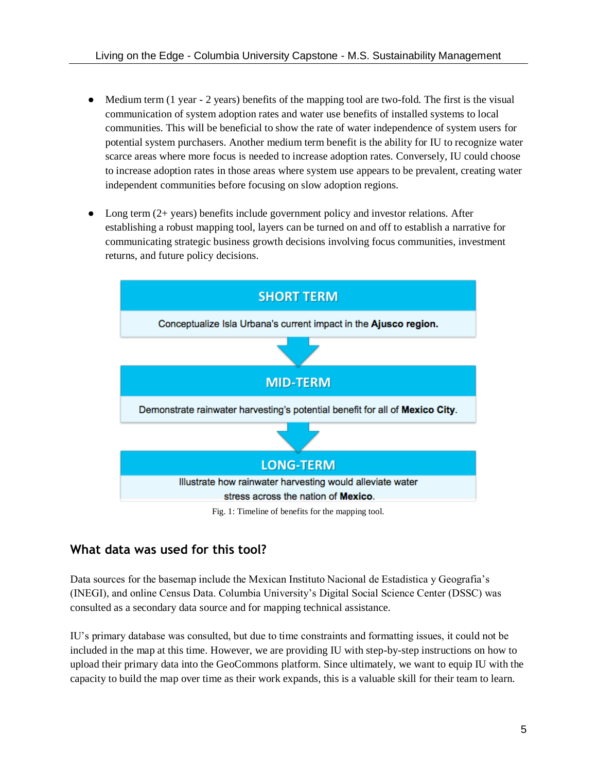- Medium term (1 year 2 years) benefits of the mapping tool are two-fold. The first is the visual communication of system adoption rates and water use benefits of installed systems to local communities. This will be beneficial to show the rate of water independence of system users for potential system purchasers. Another medium term benefit is the ability for IU to recognize water scarce areas where more focus is needed to increase adoption rates. Conversely, IU could choose to increase adoption rates in those areas where system use appears to be prevalent, creating water independent communities before focusing on slow adoption regions.
- Long term  $(2 + \text{years})$  benefits include government policy and investor relations. After establishing a robust mapping tool, layers can be turned on and off to establish a narrative for communicating strategic business growth decisions involving focus communities, investment returns, and future policy decisions.



## **What data was used for this tool?**

Data sources for the basemap include the Mexican Instituto Nacional de Estadistica y Geografia's (INEGI), and online Census Data. Columbia University's Digital Social Science Center (DSSC) was consulted as a secondary data source and for mapping technical assistance.

IU's primary database was consulted, but due to time constraints and formatting issues, it could not be included in the map at this time. However, we are providing IU with step-by-step instructions on how to upload their primary data into the GeoCommons platform. Since ultimately, we want to equip IU with the capacity to build the map over time as their work expands, this is a valuable skill for their team to learn.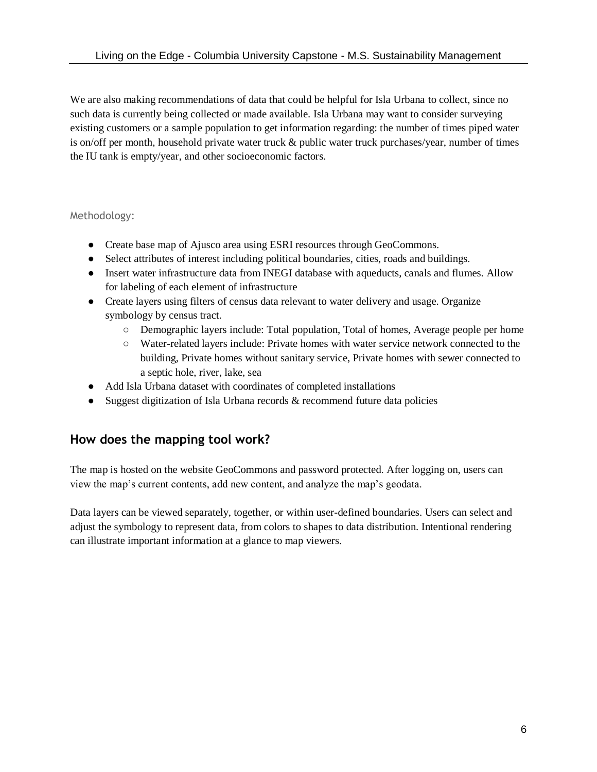We are also making recommendations of data that could be helpful for Isla Urbana to collect, since no such data is currently being collected or made available. Isla Urbana may want to consider surveying existing customers or a sample population to get information regarding: the number of times piped water is on/off per month, household private water truck  $\&$  public water truck purchases/year, number of times the IU tank is empty/year, and other socioeconomic factors.

Methodology:

- **●** Create base map of Ajusco area using ESRI resources through GeoCommons.
- **●** Select attributes of interest including political boundaries, cities, roads and buildings.
- **●** Insert water infrastructure data from INEGI database with aqueducts, canals and flumes. Allow for labeling of each element of infrastructure
- **●** Create layers using filters of census data relevant to water delivery and usage. Organize symbology by census tract.
	- **○** Demographic layers include: Total population, Total of homes, Average people per home
	- **○** Water-related layers include: Private homes with water service network connected to the building, Private homes without sanitary service, Private homes with sewer connected to a septic hole, river, lake, sea
- **●** Add Isla Urbana dataset with coordinates of completed installations
- **●** Suggest digitization of Isla Urbana records & recommend future data policies

#### **How does the mapping tool work?**

The map is hosted on the website GeoCommons and password protected. After logging on, users can view the map's current contents, add new content, and analyze the map's geodata.

Data layers can be viewed separately, together, or within user-defined boundaries. Users can select and adjust the symbology to represent data, from colors to shapes to data distribution. Intentional rendering can illustrate important information at a glance to map viewers.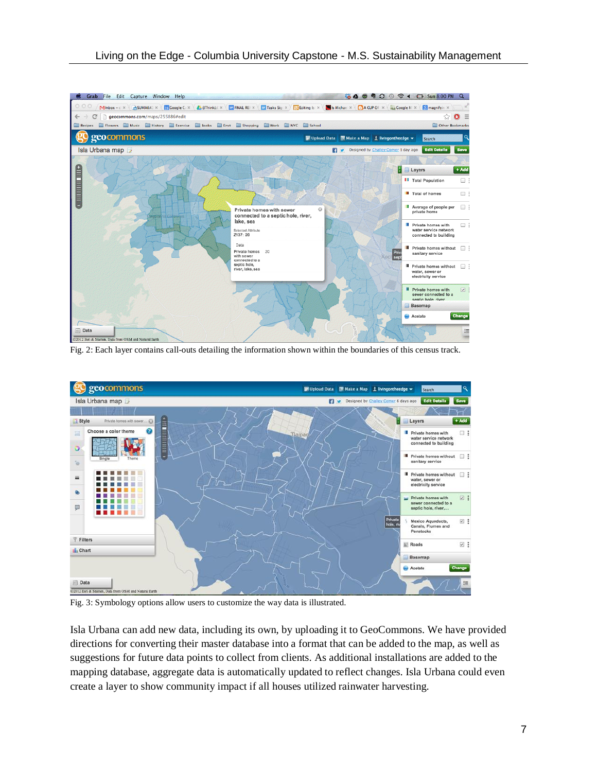

Fig. 2: Each layer contains call-outs detailing the information shown within the boundaries of this census track.



Fig. 3: Symbology options allow users to customize the way data is illustrated.

Isla Urbana can add new data, including its own, by uploading it to GeoCommons. We have provided directions for converting their master database into a format that can be added to the map, as well as suggestions for future data points to collect from clients. As additional installations are added to the mapping database, aggregate data is automatically updated to reflect changes. Isla Urbana could even create a layer to show community impact if all houses utilized rainwater harvesting.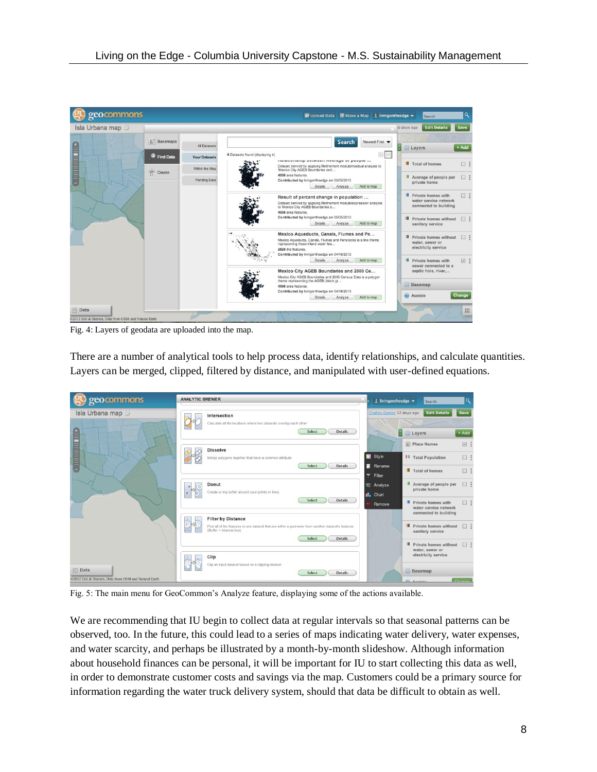

Fig. 4: Layers of geodata are uploaded into the map.

There are a number of analytical tools to help process data, identify relationships, and calculate quantities. Layers can be merged, clipped, filtered by distance, and manipulated with user-defined equations.

| geocommons                                                   | <b>ANALYTIC BREWER</b>                                                                                                                                                                  | 1 livingontheedge =                                             | Search                                                                                           |                            |
|--------------------------------------------------------------|-----------------------------------------------------------------------------------------------------------------------------------------------------------------------------------------|-----------------------------------------------------------------|--------------------------------------------------------------------------------------------------|----------------------------|
| Isla Urbana map<br><b>THE REAL PROPERTY</b>                  | Intersection<br>Calculate all the locations where two datasets overlap each other<br>Select<br><b>Details</b>                                                                           | Challey Comer 12 days ago                                       | <b>Edit Details</b><br><b>Layers</b>                                                             | Save<br>$+Add$             |
|                                                              | <b>Dissolve</b><br>Merge polygons together that have a common attribute.<br>Select<br><b>Details</b>                                                                                    | Style<br>Rename                                                 | Place Names<br><b>II</b> Total Population<br>Total of homes                                      | 回:<br>$\square$ :<br>□:    |
| 1.124                                                        | Donut<br>$\circ$<br>Create a ring buffer around your points or lines.<br>Select<br><b>Details</b>                                                                                       | Filter<br>v<br>Analyze<br><b>n</b> <sub>n</sub> Chart<br>Remove | Average of people per<br>private home<br>Private homes with<br>water service network             | $\square$ :<br>$\square$ : |
|                                                              | <b>Filter by Distance</b><br>Find all of the features in one dataset that are within a perimeter from another dataset's features<br>(Buffer + Intersection)<br>Select<br><b>Details</b> |                                                                 | connected to building<br><b>Private homes without</b><br>sanitary service                        | $\square$ :                |
| Data<br>©2012 Esri & Stamen, Data from OSM and Natural Earth | Clip<br>Clip an input dataset based on a clipping dataset<br>Select<br>Details                                                                                                          |                                                                 | Private homes without<br>water, sewer or<br>electricity service<br>Basemap<br><b>Car Annance</b> | $\Box$<br>Channa           |

Fig. 5: The main menu for GeoCommon's Analyze feature, displaying some of the actions available.

We are recommending that IU begin to collect data at regular intervals so that seasonal patterns can be observed, too. In the future, this could lead to a series of maps indicating water delivery, water expenses, and water scarcity, and perhaps be illustrated by a month-by-month slideshow. Although information about household finances can be personal, it will be important for IU to start collecting this data as well, in order to demonstrate customer costs and savings via the map. Customers could be a primary source for information regarding the water truck delivery system, should that data be difficult to obtain as well.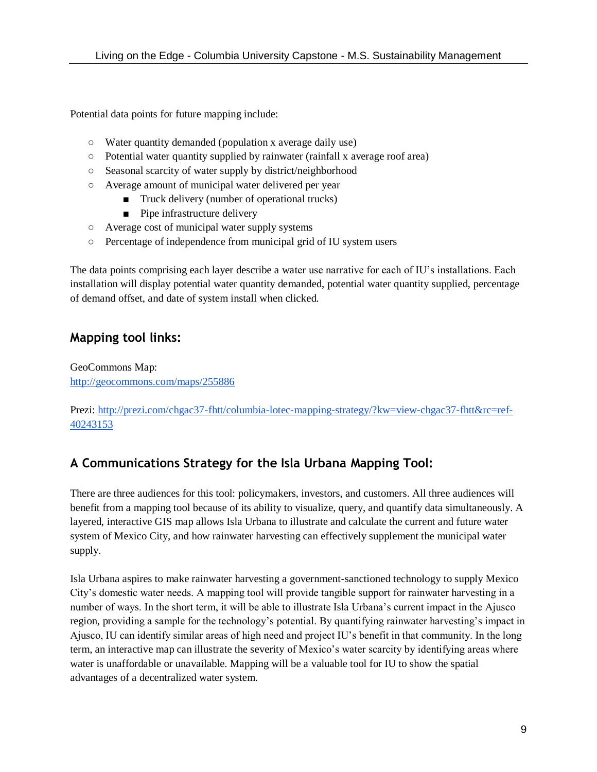Potential data points for future mapping include:

- Water quantity demanded (population x average daily use)
- Potential water quantity supplied by rainwater (rainfall x average roof area)
- Seasonal scarcity of water supply by district/neighborhood
- Average amount of municipal water delivered per year
	- Truck delivery (number of operational trucks)
	- Pipe infrastructure delivery
- Average cost of municipal water supply systems
- Percentage of independence from municipal grid of IU system users

The data points comprising each layer describe a water use narrative for each of IU's installations. Each installation will display potential water quantity demanded, potential water quantity supplied, percentage of demand offset, and date of system install when clicked.

# **Mapping tool links:**

GeoCommons Map: <http://geocommons.com/maps/255886>

Prezi: [http://prezi.com/chgac37-fhtt/columbia-lotec-mapping-strategy/?kw=view-chgac37-fhtt&rc=ref-](http://prezi.com/chgac37-fhtt/columbia-lotec-mapping-strategy/?kw=view-chgac37-fhtt&rc=ref-40243153)[40243153](http://prezi.com/chgac37-fhtt/columbia-lotec-mapping-strategy/?kw=view-chgac37-fhtt&rc=ref-40243153)

# **A Communications Strategy for the Isla Urbana Mapping Tool:**

There are three audiences for this tool: policymakers, investors, and customers. All three audiences will benefit from a mapping tool because of its ability to visualize, query, and quantify data simultaneously. A layered, interactive GIS map allows Isla Urbana to illustrate and calculate the current and future water system of Mexico City, and how rainwater harvesting can effectively supplement the municipal water supply.

Isla Urbana aspires to make rainwater harvesting a government-sanctioned technology to supply Mexico City's domestic water needs. A mapping tool will provide tangible support for rainwater harvesting in a number of ways. In the short term, it will be able to illustrate Isla Urbana's current impact in the Ajusco region, providing a sample for the technology's potential. By quantifying rainwater harvesting's impact in Ajusco, IU can identify similar areas of high need and project IU's benefit in that community. In the long term, an interactive map can illustrate the severity of Mexico's water scarcity by identifying areas where water is unaffordable or unavailable. Mapping will be a valuable tool for IU to show the spatial advantages of a decentralized water system.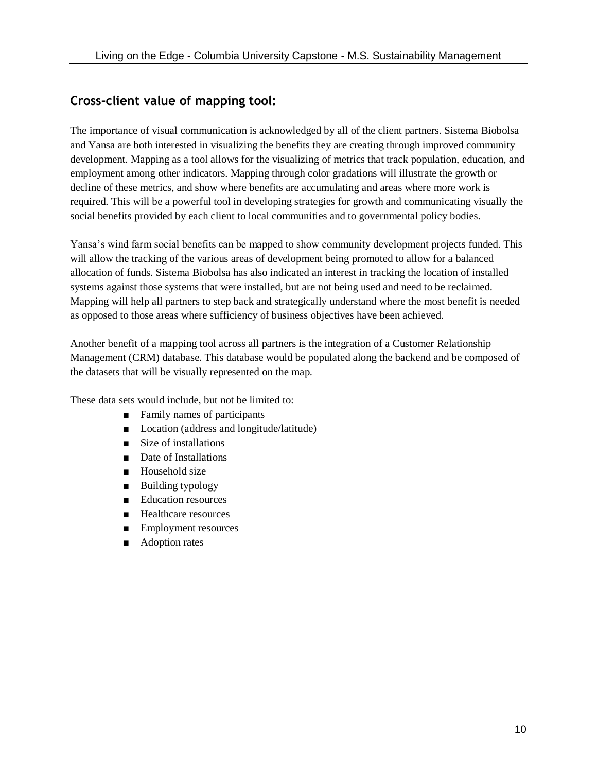# **Cross-client value of mapping tool:**

The importance of visual communication is acknowledged by all of the client partners. Sistema Biobolsa and Yansa are both interested in visualizing the benefits they are creating through improved community development. Mapping as a tool allows for the visualizing of metrics that track population, education, and employment among other indicators. Mapping through color gradations will illustrate the growth or decline of these metrics, and show where benefits are accumulating and areas where more work is required. This will be a powerful tool in developing strategies for growth and communicating visually the social benefits provided by each client to local communities and to governmental policy bodies.

Yansa's wind farm social benefits can be mapped to show community development projects funded. This will allow the tracking of the various areas of development being promoted to allow for a balanced allocation of funds. Sistema Biobolsa has also indicated an interest in tracking the location of installed systems against those systems that were installed, but are not being used and need to be reclaimed. Mapping will help all partners to step back and strategically understand where the most benefit is needed as opposed to those areas where sufficiency of business objectives have been achieved.

Another benefit of a mapping tool across all partners is the integration of a Customer Relationship Management (CRM) database. This database would be populated along the backend and be composed of the datasets that will be visually represented on the map.

These data sets would include, but not be limited to:

- Family names of participants
- Location (address and longitude/latitude)
- Size of installations
- Date of Installations
- Household size
- Building typology
- Education resources
- Healthcare resources
- Employment resources
- Adoption rates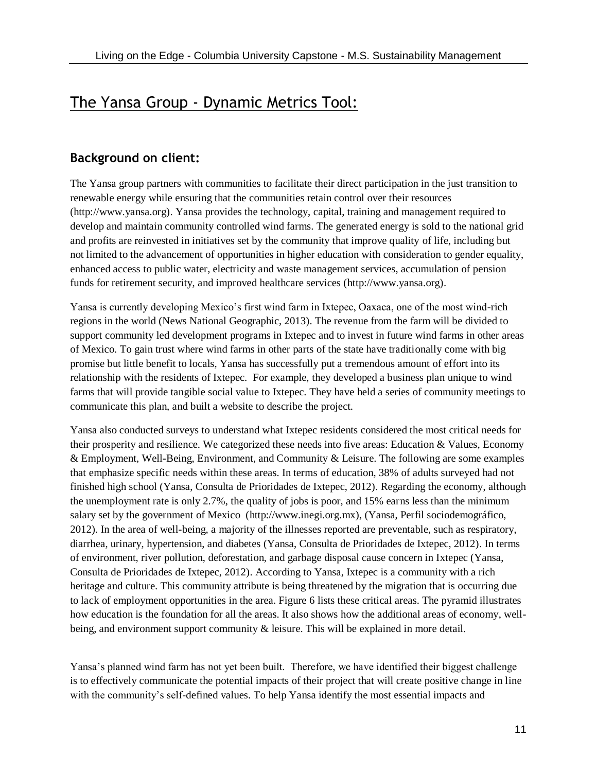# The Yansa Group - Dynamic Metrics Tool:

### **Background on client:**

The Yansa group partners with communities to facilitate their direct participation in the just transition to renewable energy while ensuring that the communities retain control over their resources (http://www.yansa.org). Yansa provides the technology, capital, training and management required to develop and maintain community controlled wind farms. The generated energy is sold to the national grid and profits are reinvested in initiatives set by the community that improve quality of life, including but not limited to the advancement of opportunities in higher education with consideration to gender equality, enhanced access to public water, electricity and waste management services, accumulation of pension funds for retirement security, and improved healthcare services (http://www.yansa.org).

Yansa is currently developing Mexico's first wind farm in Ixtepec, Oaxaca, one of the most wind-rich regions in the world (News National Geographic, 2013). The revenue from the farm will be divided to support community led development programs in Ixtepec and to invest in future wind farms in other areas of Mexico. To gain trust where wind farms in other parts of the state have traditionally come with big promise but little benefit to locals, Yansa has successfully put a tremendous amount of effort into its relationship with the residents of Ixtepec. For example, they developed a business plan unique to wind farms that will provide tangible social value to Ixtepec. They have held a series of community meetings to communicate this plan, and built a website to describe the project.

Yansa also conducted surveys to understand what Ixtepec residents considered the most critical needs for their prosperity and resilience. We categorized these needs into five areas: Education & Values, Economy & Employment, Well-Being, Environment, and Community & Leisure. The following are some examples that emphasize specific needs within these areas. In terms of education, 38% of adults surveyed had not finished high school (Yansa, Consulta de Prioridades de Ixtepec, 2012). Regarding the economy, although the unemployment rate is only 2.7%, the quality of jobs is poor, and 15% earns less than the minimum salary set by the government of Mexico (http://www.inegi.org.mx), (Yansa, Perfil sociodemográfico, 2012). In the area of well-being, a majority of the illnesses reported are preventable, such as respiratory, diarrhea, urinary, hypertension, and diabetes (Yansa, Consulta de Prioridades de Ixtepec, 2012). In terms of environment, river pollution, deforestation, and garbage disposal cause concern in Ixtepec (Yansa, Consulta de Prioridades de Ixtepec, 2012). According to Yansa, Ixtepec is a community with a rich heritage and culture. This community attribute is being threatened by the migration that is occurring due to lack of employment opportunities in the area. Figure 6 lists these critical areas. The pyramid illustrates how education is the foundation for all the areas. It also shows how the additional areas of economy, wellbeing, and environment support community & leisure. This will be explained in more detail.

Yansa's planned wind farm has not yet been built. Therefore, we have identified their biggest challenge is to effectively communicate the potential impacts of their project that will create positive change in line with the community's self-defined values. To help Yansa identify the most essential impacts and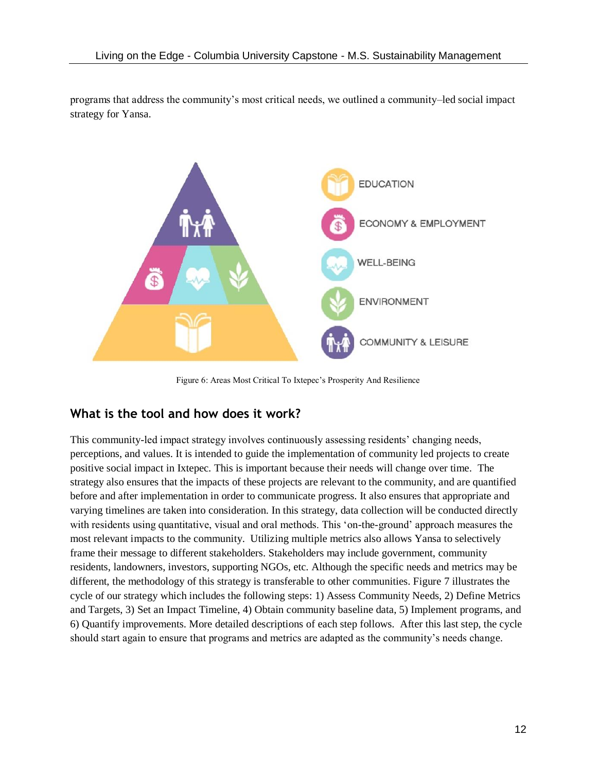programs that address the community's most critical needs, we outlined a community–led social impact strategy for Yansa.



Figure 6: Areas Most Critical To Ixtepec's Prosperity And Resilience

#### **What is the tool and how does it work?**

This community-led impact strategy involves continuously assessing residents' changing needs, perceptions, and values. It is intended to guide the implementation of community led projects to create positive social impact in Ixtepec. This is important because their needs will change over time. The strategy also ensures that the impacts of these projects are relevant to the community, and are quantified before and after implementation in order to communicate progress. It also ensures that appropriate and varying timelines are taken into consideration. In this strategy, data collection will be conducted directly with residents using quantitative, visual and oral methods. This 'on-the-ground' approach measures the most relevant impacts to the community. Utilizing multiple metrics also allows Yansa to selectively frame their message to different stakeholders. Stakeholders may include government, community residents, landowners, investors, supporting NGOs, etc. Although the specific needs and metrics may be different, the methodology of this strategy is transferable to other communities. Figure 7 illustrates the cycle of our strategy which includes the following steps: 1) Assess Community Needs, 2) Define Metrics and Targets, 3) Set an Impact Timeline, 4) Obtain community baseline data, 5) Implement programs, and 6) Quantify improvements. More detailed descriptions of each step follows. After this last step, the cycle should start again to ensure that programs and metrics are adapted as the community's needs change.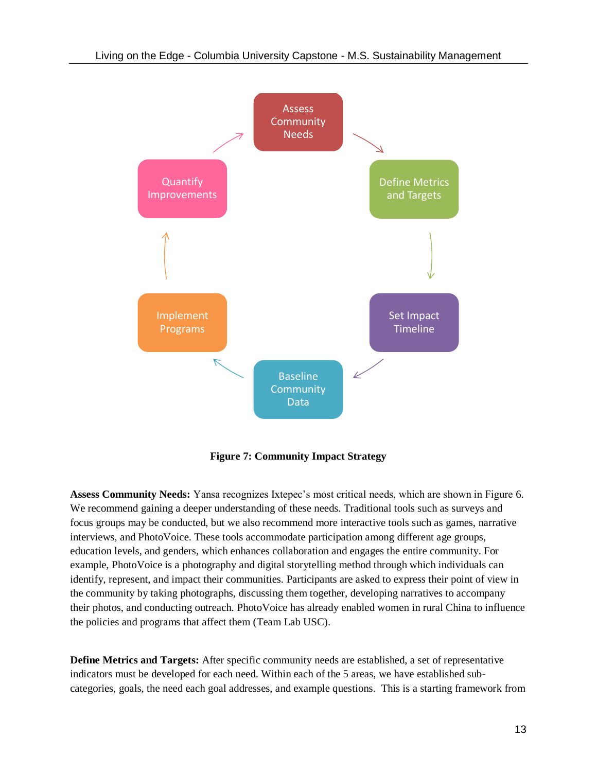

**Figure 7: Community Impact Strategy** 

**Assess Community Needs:** Yansa recognizes Ixtepec's most critical needs, which are shown in Figure 6. We recommend gaining a deeper understanding of these needs. Traditional tools such as surveys and focus groups may be conducted, but we also recommend more interactive tools such as games, narrative interviews, and PhotoVoice. These tools accommodate participation among different age groups, education levels, and genders, which enhances collaboration and engages the entire community. For example, PhotoVoice is a photography and digital storytelling method through which individuals can identify, represent, and impact their communities. Participants are asked to express their point of view in the community by taking photographs, discussing them together, developing narratives to accompany their photos, and conducting outreach. PhotoVoice has already enabled women in rural China to influence the policies and programs that affect them (Team Lab USC).

**Define Metrics and Targets:** After specific community needs are established, a set of representative indicators must be developed for each need. Within each of the 5 areas, we have established subcategories, goals, the need each goal addresses, and example questions. This is a starting framework from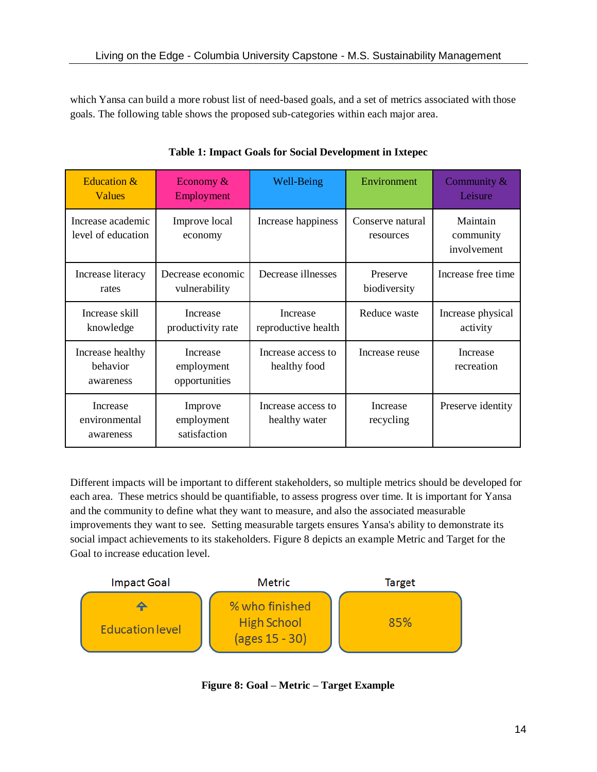which Yansa can build a more robust list of need-based goals, and a set of metrics associated with those goals. The following table shows the proposed sub-categories within each major area.

| Education &<br><b>Values</b>              | Economy $\&$<br>Employment              | Well-Being                             | Environment                   | Community &<br>Leisure               |
|-------------------------------------------|-----------------------------------------|----------------------------------------|-------------------------------|--------------------------------------|
| Increase academic<br>level of education   | Improve local<br>economy                | Increase happiness                     | Conserve natural<br>resources | Maintain<br>community<br>involvement |
| Increase literacy<br>rates                | Decrease economic<br>vulnerability      | Decrease illnesses                     | Preserve<br>biodiversity      | Increase free time                   |
| Increase skill<br>knowledge               | Increase<br>productivity rate           | <b>Increase</b><br>reproductive health | Reduce waste                  | Increase physical<br>activity        |
| Increase healthy<br>behavior<br>awareness | Increase<br>employment<br>opportunities | Increase access to<br>healthy food     | Increase reuse                | Increase<br>recreation               |
| Increase<br>environmental<br>awareness    | Improve<br>employment<br>satisfaction   | Increase access to<br>healthy water    | Increase<br>recycling         | Preserve identity                    |

**Table 1: Impact Goals for Social Development in Ixtepec**

Different impacts will be important to different stakeholders, so multiple metrics should be developed for each area. These metrics should be quantifiable, to assess progress over time. It is important for Yansa and the community to define what they want to measure, and also the associated measurable improvements they want to see. Setting measurable targets ensures Yansa's ability to demonstrate its social impact achievements to its stakeholders. Figure 8 depicts an example Metric and Target for the Goal to increase education level.



**Figure 8: Goal – Metric – Target Example**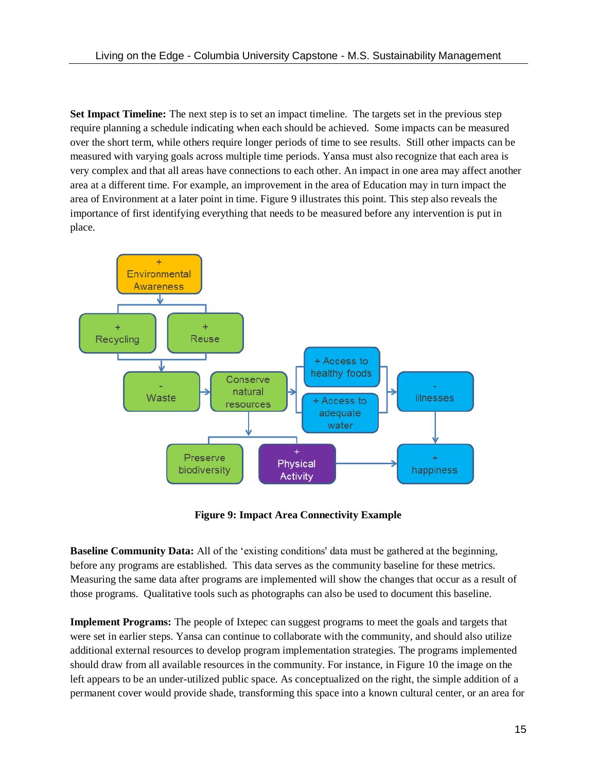**Set Impact Timeline:** The next step is to set an impact timeline. The targets set in the previous step require planning a schedule indicating when each should be achieved. Some impacts can be measured over the short term, while others require longer periods of time to see results. Still other impacts can be measured with varying goals across multiple time periods. Yansa must also recognize that each area is very complex and that all areas have connections to each other. An impact in one area may affect another area at a different time. For example, an improvement in the area of Education may in turn impact the area of Environment at a later point in time. Figure 9 illustrates this point. This step also reveals the importance of first identifying everything that needs to be measured before any intervention is put in place.



**Figure 9: Impact Area Connectivity Example**

**Baseline Community Data:** All of the 'existing conditions' data must be gathered at the beginning, before any programs are established. This data serves as the community baseline for these metrics. Measuring the same data after programs are implemented will show the changes that occur as a result of those programs. Qualitative tools such as photographs can also be used to document this baseline.

**Implement Programs:** The people of Ixtepec can suggest programs to meet the goals and targets that were set in earlier steps. Yansa can continue to collaborate with the community, and should also utilize additional external resources to develop program implementation strategies. The programs implemented should draw from all available resources in the community. For instance, in Figure 10 the image on the left appears to be an under-utilized public space. As conceptualized on the right, the simple addition of a permanent cover would provide shade, transforming this space into a known cultural center, or an area for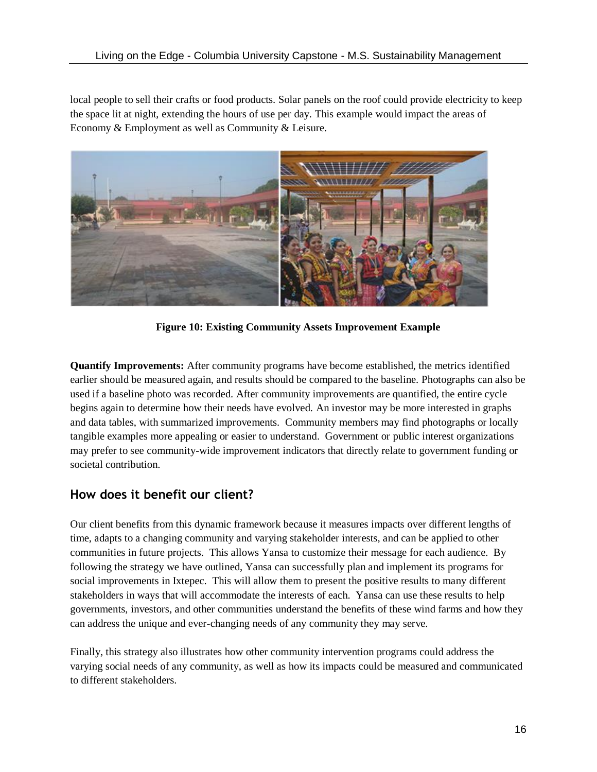local people to sell their crafts or food products. Solar panels on the roof could provide electricity to keep the space lit at night, extending the hours of use per day. This example would impact the areas of Economy & Employment as well as Community & Leisure.



**Figure 10: Existing Community Assets Improvement Example**

**Quantify Improvements:** After community programs have become established, the metrics identified earlier should be measured again, and results should be compared to the baseline. Photographs can also be used if a baseline photo was recorded. After community improvements are quantified, the entire cycle begins again to determine how their needs have evolved. An investor may be more interested in graphs and data tables, with summarized improvements. Community members may find photographs or locally tangible examples more appealing or easier to understand. Government or public interest organizations may prefer to see community-wide improvement indicators that directly relate to government funding or societal contribution.

#### **How does it benefit our client?**

Our client benefits from this dynamic framework because it measures impacts over different lengths of time, adapts to a changing community and varying stakeholder interests, and can be applied to other communities in future projects. This allows Yansa to customize their message for each audience. By following the strategy we have outlined, Yansa can successfully plan and implement its programs for social improvements in Ixtepec. This will allow them to present the positive results to many different stakeholders in ways that will accommodate the interests of each. Yansa can use these results to help governments, investors, and other communities understand the benefits of these wind farms and how they can address the unique and ever-changing needs of any community they may serve.

Finally, this strategy also illustrates how other community intervention programs could address the varying social needs of any community, as well as how its impacts could be measured and communicated to different stakeholders.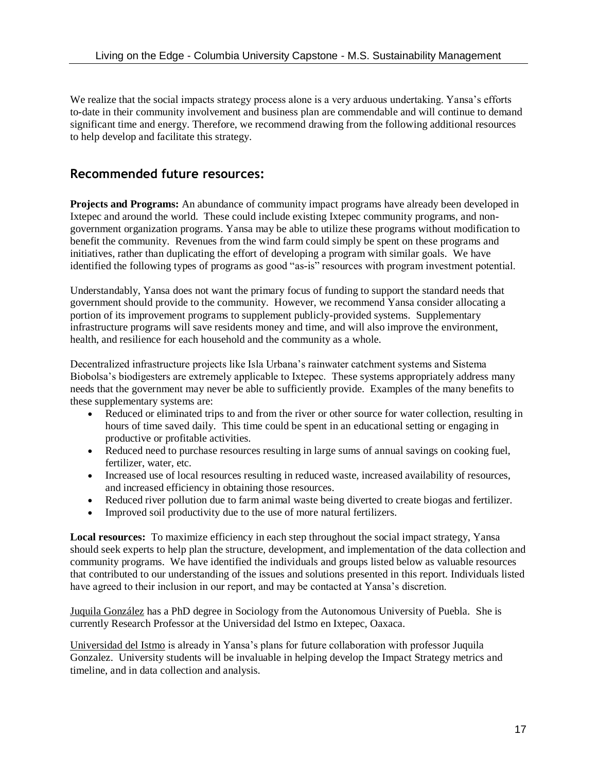We realize that the social impacts strategy process alone is a very arduous undertaking. Yansa's efforts to-date in their community involvement and business plan are commendable and will continue to demand significant time and energy. Therefore, we recommend drawing from the following additional resources to help develop and facilitate this strategy.

#### **Recommended future resources:**

**Projects and Programs:** An abundance of community impact programs have already been developed in Ixtepec and around the world. These could include existing Ixtepec community programs, and nongovernment organization programs. Yansa may be able to utilize these programs without modification to benefit the community. Revenues from the wind farm could simply be spent on these programs and initiatives, rather than duplicating the effort of developing a program with similar goals. We have identified the following types of programs as good "as-is" resources with program investment potential.

Understandably, Yansa does not want the primary focus of funding to support the standard needs that government should provide to the community. However, we recommend Yansa consider allocating a portion of its improvement programs to supplement publicly-provided systems. Supplementary infrastructure programs will save residents money and time, and will also improve the environment, health, and resilience for each household and the community as a whole.

Decentralized infrastructure projects like Isla Urbana's rainwater catchment systems and Sistema Biobolsa's biodigesters are extremely applicable to Ixtepec. These systems appropriately address many needs that the government may never be able to sufficiently provide. Examples of the many benefits to these supplementary systems are:

- Reduced or eliminated trips to and from the river or other source for water collection, resulting in hours of time saved daily. This time could be spent in an educational setting or engaging in productive or profitable activities.
- Reduced need to purchase resources resulting in large sums of annual savings on cooking fuel, fertilizer, water, etc.
- Increased use of local resources resulting in reduced waste, increased availability of resources, and increased efficiency in obtaining those resources.
- Reduced river pollution due to farm animal waste being diverted to create biogas and fertilizer.
- Improved soil productivity due to the use of more natural fertilizers.

**Local resources:** To maximize efficiency in each step throughout the social impact strategy, Yansa should seek experts to help plan the structure, development, and implementation of the data collection and community programs. We have identified the individuals and groups listed below as valuable resources that contributed to our understanding of the issues and solutions presented in this report. Individuals listed have agreed to their inclusion in our report, and may be contacted at Yansa's discretion.

Juquila González has a PhD degree in Sociology from the Autonomous University of Puebla. She is currently Research Professor at the Universidad del Istmo en Ixtepec, Oaxaca.

Universidad del Istmo is already in Yansa's plans for future collaboration with professor Juquila Gonzalez. University students will be invaluable in helping develop the Impact Strategy metrics and timeline, and in data collection and analysis.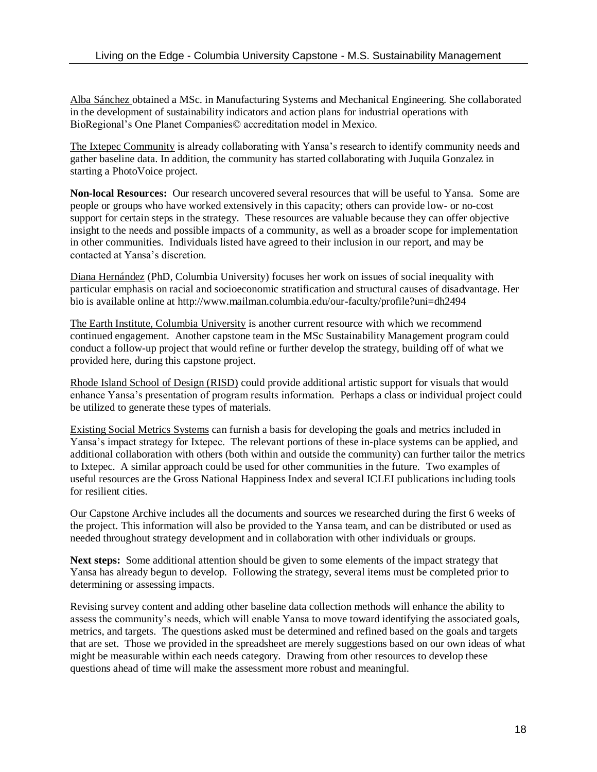Alba Sánchez obtained a MSc. in Manufacturing Systems and Mechanical Engineering. She collaborated in the development of sustainability indicators and action plans for industrial operations with BioRegional's One Planet Companies© accreditation model in Mexico.

The Ixtepec Community is already collaborating with Yansa's research to identify community needs and gather baseline data. In addition, the community has started collaborating with Juquila Gonzalez in starting a PhotoVoice project.

**Non-local Resources:** Our research uncovered several resources that will be useful to Yansa. Some are people or groups who have worked extensively in this capacity; others can provide low- or no-cost support for certain steps in the strategy. These resources are valuable because they can offer objective insight to the needs and possible impacts of a community, as well as a broader scope for implementation in other communities. Individuals listed have agreed to their inclusion in our report, and may be contacted at Yansa's discretion.

Diana Hernández (PhD, Columbia University) focuses her work on issues of social inequality with particular emphasis on racial and socioeconomic stratification and structural causes of disadvantage. Her bio is available online at http://www.mailman.columbia.edu/our-faculty/profile?uni=dh2494

The Earth Institute, Columbia University is another current resource with which we recommend continued engagement. Another capstone team in the MSc Sustainability Management program could conduct a follow-up project that would refine or further develop the strategy, building off of what we provided here, during this capstone project.

Rhode Island School of Design (RISD) could provide additional artistic support for visuals that would enhance Yansa's presentation of program results information. Perhaps a class or individual project could be utilized to generate these types of materials.

Existing Social Metrics Systems can furnish a basis for developing the goals and metrics included in Yansa's impact strategy for Ixtepec. The relevant portions of these in-place systems can be applied, and additional collaboration with others (both within and outside the community) can further tailor the metrics to Ixtepec. A similar approach could be used for other communities in the future. Two examples of useful resources are the Gross National Happiness Index and several ICLEI publications including tools for resilient cities.

Our Capstone Archive includes all the documents and sources we researched during the first 6 weeks of the project. This information will also be provided to the Yansa team, and can be distributed or used as needed throughout strategy development and in collaboration with other individuals or groups.

**Next steps:** Some additional attention should be given to some elements of the impact strategy that Yansa has already begun to develop. Following the strategy, several items must be completed prior to determining or assessing impacts.

Revising survey content and adding other baseline data collection methods will enhance the ability to assess the community's needs, which will enable Yansa to move toward identifying the associated goals, metrics, and targets. The questions asked must be determined and refined based on the goals and targets that are set. Those we provided in the spreadsheet are merely suggestions based on our own ideas of what might be measurable within each needs category. Drawing from other resources to develop these questions ahead of time will make the assessment more robust and meaningful.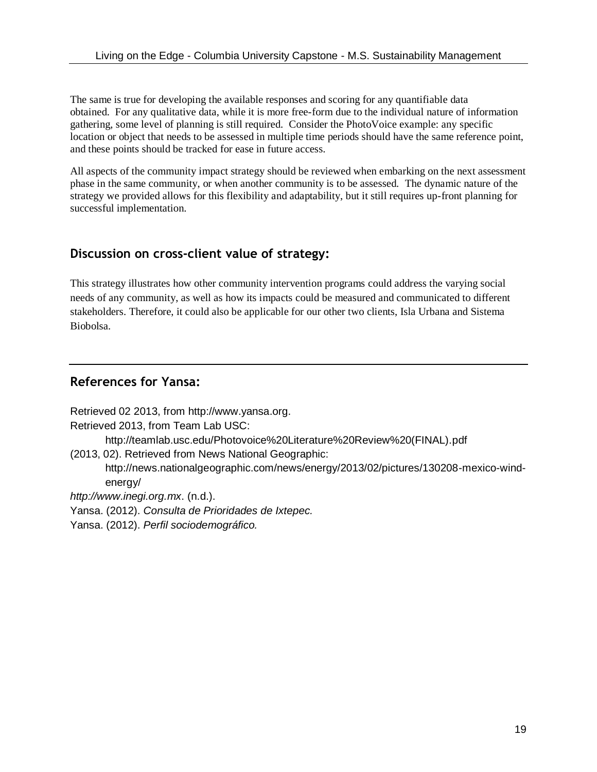The same is true for developing the available responses and scoring for any quantifiable data obtained. For any qualitative data, while it is more free-form due to the individual nature of information gathering, some level of planning is still required. Consider the PhotoVoice example: any specific location or object that needs to be assessed in multiple time periods should have the same reference point, and these points should be tracked for ease in future access.

All aspects of the community impact strategy should be reviewed when embarking on the next assessment phase in the same community, or when another community is to be assessed. The dynamic nature of the strategy we provided allows for this flexibility and adaptability, but it still requires up-front planning for successful implementation.

### **Discussion on cross-client value of strategy:**

This strategy illustrates how other community intervention programs could address the varying social needs of any community, as well as how its impacts could be measured and communicated to different stakeholders. Therefore, it could also be applicable for our other two clients, Isla Urbana and Sistema Biobolsa.

### **References for Yansa:**

Retrieved 02 2013, from http://www.yansa.org. Retrieved 2013, from Team Lab USC: http://teamlab.usc.edu/Photovoice%20Literature%20Review%20(FINAL).pdf (2013, 02). Retrieved from News National Geographic:

http://news.nationalgeographic.com/news/energy/2013/02/pictures/130208-mexico-windenergy/

*http://www.inegi.org.mx*. (n.d.).

Yansa. (2012). *Consulta de Prioridades de Ixtepec.*

Yansa. (2012). *Perfil sociodemográfico.*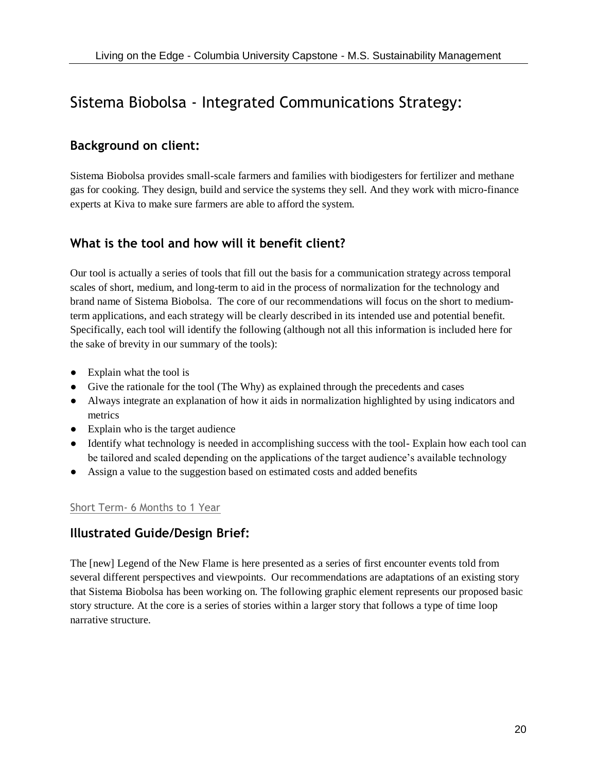# Sistema Biobolsa - Integrated Communications Strategy:

### **Background on client:**

Sistema Biobolsa provides small-scale farmers and families with biodigesters for fertilizer and methane gas for cooking. They design, build and service the systems they sell. And they work with micro-finance experts at Kiva to make sure farmers are able to afford the system.

## **What is the tool and how will it benefit client?**

Our tool is actually a series of tools that fill out the basis for a communication strategy across temporal scales of short, medium, and long-term to aid in the process of normalization for the technology and brand name of Sistema Biobolsa. The core of our recommendations will focus on the short to mediumterm applications, and each strategy will be clearly described in its intended use and potential benefit. Specifically, each tool will identify the following (although not all this information is included here for the sake of brevity in our summary of the tools):

- Explain what the tool is
- Give the rationale for the tool (The Why) as explained through the precedents and cases
- Always integrate an explanation of how it aids in normalization highlighted by using indicators and metrics
- Explain who is the target audience
- Identify what technology is needed in accomplishing success with the tool-Explain how each tool can be tailored and scaled depending on the applications of the target audience's available technology
- Assign a value to the suggestion based on estimated costs and added benefits

#### Short Term- 6 Months to 1 Year

#### **Illustrated Guide/Design Brief:**

The [new] Legend of the New Flame is here presented as a series of first encounter events told from several different perspectives and viewpoints. Our recommendations are adaptations of an existing story that Sistema Biobolsa has been working on. The following graphic element represents our proposed basic story structure. At the core is a series of stories within a larger story that follows a type of time loop narrative structure.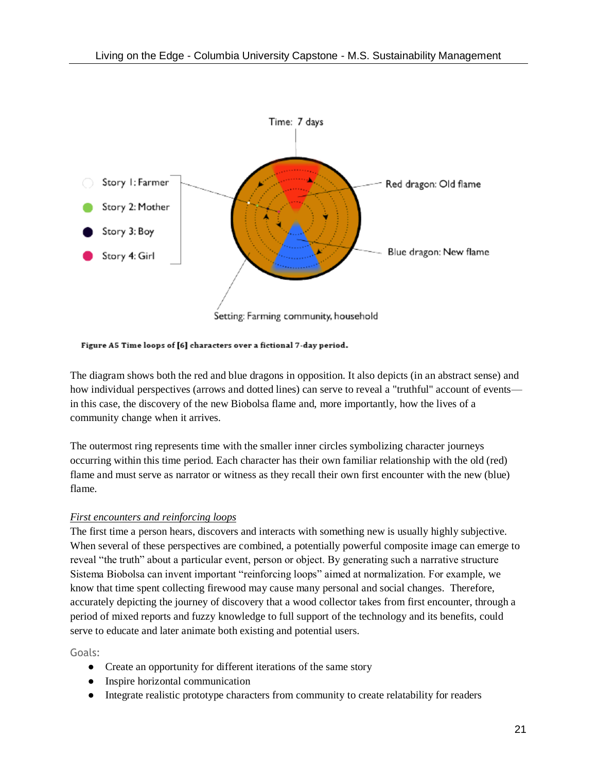

Figure A5 Time loops of [6] characters over a fictional 7-day period.

The diagram shows both the red and blue dragons in opposition. It also depicts (in an abstract sense) and how individual perspectives (arrows and dotted lines) can serve to reveal a "truthful" account of events in this case, the discovery of the new Biobolsa flame and, more importantly, how the lives of a community change when it arrives.

The outermost ring represents time with the smaller inner circles symbolizing character journeys occurring within this time period. Each character has their own familiar relationship with the old (red) flame and must serve as narrator or witness as they recall their own first encounter with the new (blue) flame.

#### *First encounters and reinforcing loops*

The first time a person hears, discovers and interacts with something new is usually highly subjective. When several of these perspectives are combined, a potentially powerful composite image can emerge to reveal "the truth" about a particular event, person or object. By generating such a narrative structure Sistema Biobolsa can invent important "reinforcing loops" aimed at normalization. For example, we know that time spent collecting firewood may cause many personal and social changes. Therefore, accurately depicting the journey of discovery that a wood collector takes from first encounter, through a period of mixed reports and fuzzy knowledge to full support of the technology and its benefits, could serve to educate and later animate both existing and potential users.

Goals:

- Create an opportunity for different iterations of the same story
- Inspire horizontal communication
- Integrate realistic prototype characters from community to create relatability for readers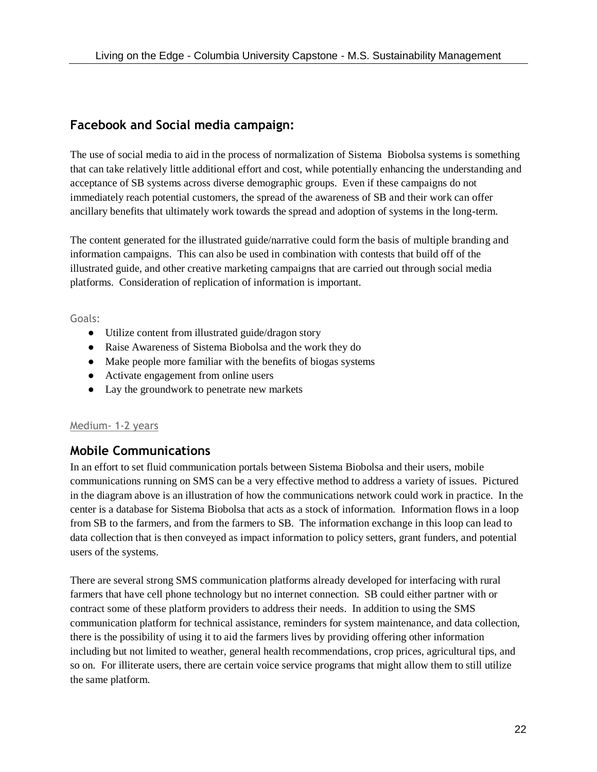### **Facebook and Social media campaign:**

The use of social media to aid in the process of normalization of Sistema Biobolsa systems is something that can take relatively little additional effort and cost, while potentially enhancing the understanding and acceptance of SB systems across diverse demographic groups. Even if these campaigns do not immediately reach potential customers, the spread of the awareness of SB and their work can offer ancillary benefits that ultimately work towards the spread and adoption of systems in the long-term.

The content generated for the illustrated guide/narrative could form the basis of multiple branding and information campaigns. This can also be used in combination with contests that build off of the illustrated guide, and other creative marketing campaigns that are carried out through social media platforms. Consideration of replication of information is important.

Goals:

- Utilize content from illustrated guide/dragon story
- Raise Awareness of Sistema Biobolsa and the work they do
- Make people more familiar with the benefits of biogas systems
- Activate engagement from online users
- Lay the groundwork to penetrate new markets

#### Medium- 1-2 years

#### **Mobile Communications**

In an effort to set fluid communication portals between Sistema Biobolsa and their users, mobile communications running on SMS can be a very effective method to address a variety of issues. Pictured in the diagram above is an illustration of how the communications network could work in practice. In the center is a database for Sistema Biobolsa that acts as a stock of information. Information flows in a loop from SB to the farmers, and from the farmers to SB. The information exchange in this loop can lead to data collection that is then conveyed as impact information to policy setters, grant funders, and potential users of the systems.

There are several strong SMS communication platforms already developed for interfacing with rural farmers that have cell phone technology but no internet connection. SB could either partner with or contract some of these platform providers to address their needs. In addition to using the SMS communication platform for technical assistance, reminders for system maintenance, and data collection, there is the possibility of using it to aid the farmers lives by providing offering other information including but not limited to weather, general health recommendations, crop prices, agricultural tips, and so on. For illiterate users, there are certain voice service programs that might allow them to still utilize the same platform.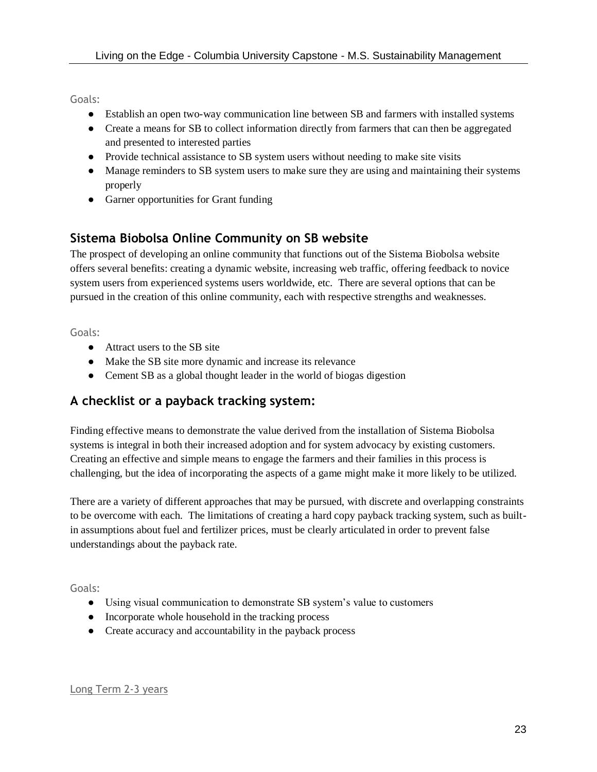Goals:

- Establish an open two-way communication line between SB and farmers with installed systems
- Create a means for SB to collect information directly from farmers that can then be aggregated and presented to interested parties
- Provide technical assistance to SB system users without needing to make site visits
- Manage reminders to SB system users to make sure they are using and maintaining their systems properly
- Garner opportunities for Grant funding

## **Sistema Biobolsa Online Community on SB website**

The prospect of developing an online community that functions out of the Sistema Biobolsa website offers several benefits: creating a dynamic website, increasing web traffic, offering feedback to novice system users from experienced systems users worldwide, etc. There are several options that can be pursued in the creation of this online community, each with respective strengths and weaknesses.

Goals:

- Attract users to the SB site
- Make the SB site more dynamic and increase its relevance
- Cement SB as a global thought leader in the world of biogas digestion

## **A checklist or a payback tracking system:**

Finding effective means to demonstrate the value derived from the installation of Sistema Biobolsa systems is integral in both their increased adoption and for system advocacy by existing customers. Creating an effective and simple means to engage the farmers and their families in this process is challenging, but the idea of incorporating the aspects of a game might make it more likely to be utilized.

There are a variety of different approaches that may be pursued, with discrete and overlapping constraints to be overcome with each. The limitations of creating a hard copy payback tracking system, such as builtin assumptions about fuel and fertilizer prices, must be clearly articulated in order to prevent false understandings about the payback rate.

Goals:

- Using visual communication to demonstrate SB system's value to customers
- Incorporate whole household in the tracking process
- Create accuracy and accountability in the payback process

Long Term 2-3 years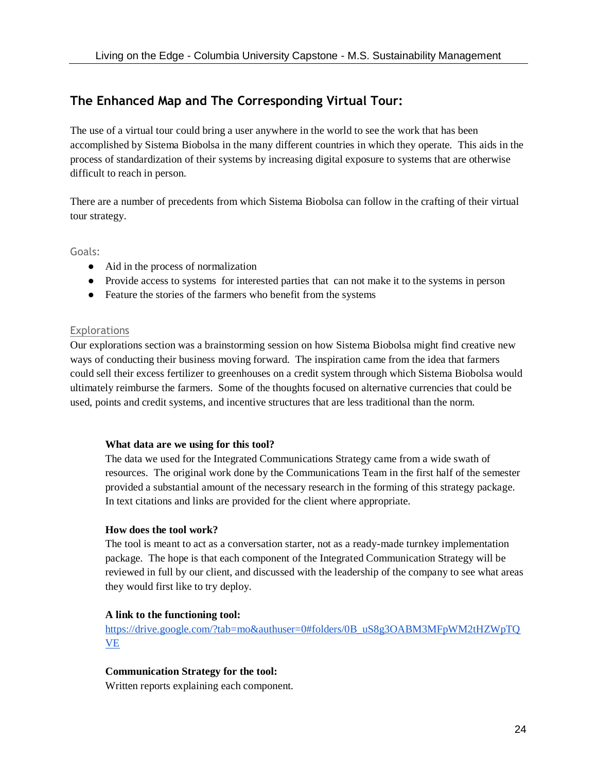# **The Enhanced Map and The Corresponding Virtual Tour:**

The use of a virtual tour could bring a user anywhere in the world to see the work that has been accomplished by Sistema Biobolsa in the many different countries in which they operate. This aids in the process of standardization of their systems by increasing digital exposure to systems that are otherwise difficult to reach in person.

There are a number of precedents from which Sistema Biobolsa can follow in the crafting of their virtual tour strategy.

Goals:

- Aid in the process of normalization
- Provide access to systems for interested parties that can not make it to the systems in person
- Feature the stories of the farmers who benefit from the systems

#### Explorations

Our explorations section was a brainstorming session on how Sistema Biobolsa might find creative new ways of conducting their business moving forward. The inspiration came from the idea that farmers could sell their excess fertilizer to greenhouses on a credit system through which Sistema Biobolsa would ultimately reimburse the farmers. Some of the thoughts focused on alternative currencies that could be used, points and credit systems, and incentive structures that are less traditional than the norm.

#### **What data are we using for this tool?**

The data we used for the Integrated Communications Strategy came from a wide swath of resources. The original work done by the Communications Team in the first half of the semester provided a substantial amount of the necessary research in the forming of this strategy package. In text citations and links are provided for the client where appropriate.

#### **How does the tool work?**

The tool is meant to act as a conversation starter, not as a ready-made turnkey implementation package. The hope is that each component of the Integrated Communication Strategy will be reviewed in full by our client, and discussed with the leadership of the company to see what areas they would first like to try deploy.

#### **A link to the functioning tool:**

https://drive.google.com/?tab=mo&authuser=0#folders/0B\_uS8g3OABM3MFpWM2tHZWpTO [VE](https://drive.google.com/?tab=mo&authuser=0#folders/0B_uS8g3OABM3MFpWM2tHZWpTQVE)

#### **Communication Strategy for the tool:**

Written reports explaining each component.